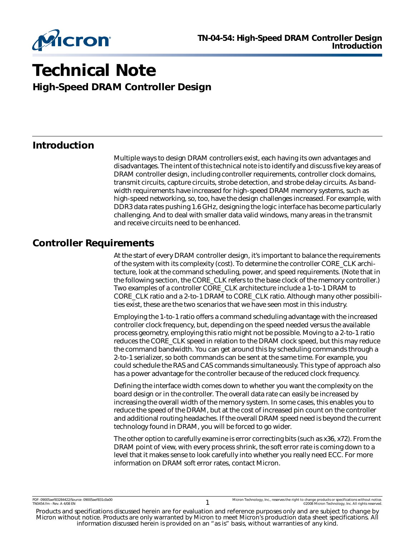

# **Technical Note**

**High-Speed DRAM Controller Design**

## **Introduction**

Multiple ways to design DRAM controllers exist, each having its own advantages and disadvantages. The intent of this technical note is to identify and discuss five key areas of DRAM controller design, including controller requirements, controller clock domains, transmit circuits, capture circuits, strobe detection, and strobe delay circuits. As bandwidth requirements have increased for high-speed DRAM memory systems, such as high-speed networking, so, too, have the design challenges increased. For example, with DDR3 data rates pushing 1.6 GHz, designing the logic interface has become particularly challenging. And to deal with smaller data valid windows, many areas in the transmit and receive circuits need to be enhanced.

## **Controller Requirements**

At the start of every DRAM controller design, it's important to balance the requirements of the system with its complexity (cost). To determine the controller CORE\_CLK architecture, look at the command scheduling, power, and speed requirements. (Note that in the following section, the CORE\_CLK refers to the base clock of the memory controller.) Two examples of a controller CORE\_CLK architecture include a 1-to-1 DRAM to CORE\_CLK ratio and a 2-to-1 DRAM to CORE\_CLK ratio. Although many other possibilities exist, these are the two scenarios that we have seen most in this industry.

Employing the 1-to-1 ratio offers a command scheduling advantage with the increased controller clock frequency, but, depending on the speed needed versus the available process geometry, employing this ratio might not be possible. Moving to a 2-to-1 ratio reduces the CORE\_CLK speed in relation to the DRAM clock speed, but this may reduce the command bandwidth. You can get around this by scheduling commands through a 2-to-1 serializer, so both commands can be sent at the same time. For example, you could schedule the RAS and CAS commands simultaneously. This type of approach also has a power advantage for the controller because of the reduced clock frequency.

Defining the interface width comes down to whether you want the complexity on the board design or in the controller. The overall data rate can easily be increased by increasing the overall width of the memory system. In some cases, this enables you to reduce the speed of the DRAM, but at the cost of increased pin count on the controller and additional routing headaches. If the overall DRAM speed need is beyond the current technology found in DRAM, you will be forced to go wider.

The other option to carefully examine is error correcting bits (such as x36, x72). From the DRAM point of view, with every process shrink, the soft error rate is coming down to a level that it makes sense to look carefully into whether you really need ECC. For more information on DRAM soft error rates, contact Micron.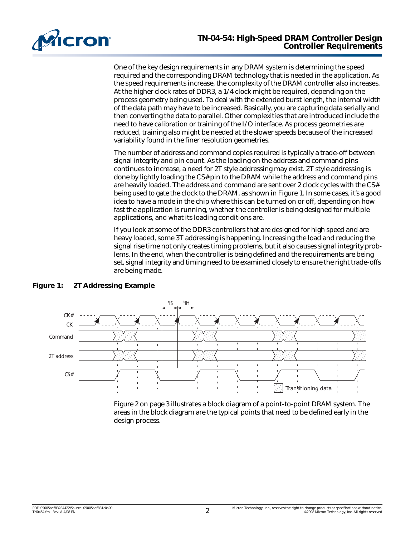

One of the key design requirements in any DRAM system is determining the speed required and the corresponding DRAM technology that is needed in the application. As the speed requirements increase, the complexity of the DRAM controller also increases. At the higher clock rates of DDR3, a 1/4 clock might be required, depending on the process geometry being used. To deal with the extended burst length, the internal width of the data path may have to be increased. Basically, you are capturing data serially and then converting the data to parallel. Other complexities that are introduced include the need to have calibration or training of the I/O interface. As process geometries are reduced, training also might be needed at the slower speeds because of the increased variability found in the finer resolution geometries.

The number of address and command copies required is typically a trade-off between signal integrity and pin count. As the loading on the address and command pins continues to increase, a need for 2T style addressing may exist. 2T style addressing is done by lightly loading the CS# pin to the DRAM while the address and command pins are heavily loaded. The address and command are sent over 2 clock cycles with the CS# being used to gate the clock to the DRAM, as shown in [Figure 1.](#page-1-0) In some cases, it's a good idea to have a mode in the chip where this can be turned on or off, depending on how fast the application is running, whether the controller is being designed for multiple applications, and what its loading conditions are.

If you look at some of the DDR3 controllers that are designed for high speed and are heavy loaded, some 3T addressing is happening. Increasing the load and reducing the signal rise time not only creates timing problems, but it also causes signal integrity problems. In the end, when the controller is being defined and the requirements are being set, signal integrity and timing need to be examined closely to ensure the right trade-offs are being made.



#### <span id="page-1-0"></span>**Figure 1: 2T Addressing Example**

[Figure 2 on page 3](#page-2-0) illustrates a block diagram of a point-to-point DRAM system. The areas in the block diagram are the typical points that need to be defined early in the design process.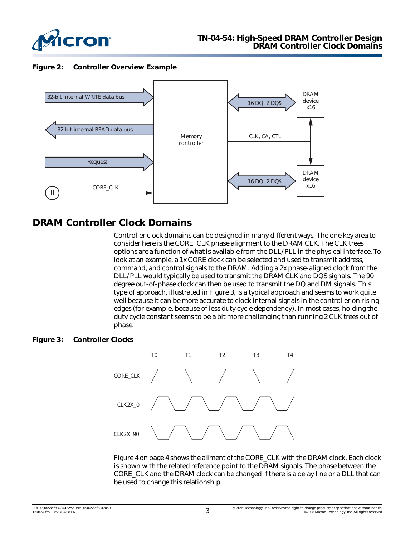![](_page_2_Picture_0.jpeg)

<span id="page-2-0"></span>**Figure 2: Controller Overview Example**

![](_page_2_Figure_3.jpeg)

# **DRAM Controller Clock Domains**

Controller clock domains can be designed in many different ways. The one key area to consider here is the CORE\_CLK phase alignment to the DRAM CLK. The CLK trees options are a function of what is available from the DLL/PLL in the physical interface. To look at an example, a 1x CORE clock can be selected and used to transmit address, command, and control signals to the DRAM. Adding a 2x phase-aligned clock from the DLL/PLL would typically be used to transmit the DRAM CLK and DQS signals. The 90 degree out-of-phase clock can then be used to transmit the DQ and DM signals. This type of approach, illustrated in [Figure 3,](#page-2-1) is a typical approach and seems to work quite well because it can be more accurate to clock internal signals in the controller on rising edges (for example, because of less duty cycle dependency). In most cases, holding the duty cycle constant seems to be a bit more challenging than running 2 CLK trees out of phase.

#### <span id="page-2-1"></span>**Figure 3: Controller Clocks**

![](_page_2_Figure_7.jpeg)

[Figure 4 on page 4](#page-3-0) shows the aliment of the CORE\_CLK with the DRAM clock. Each clock is shown with the related reference point to the DRAM signals. The phase between the CORE\_CLK and the DRAM clock can be changed if there is a delay line or a DLL that can be used to change this relationship.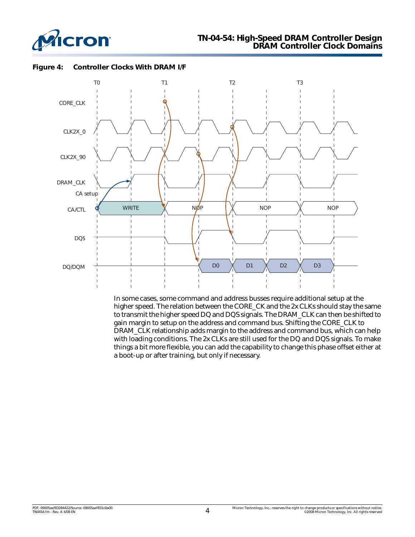![](_page_3_Picture_0.jpeg)

![](_page_3_Figure_2.jpeg)

<span id="page-3-0"></span>**Figure 4: Controller Clocks With DRAM I/F**

In some cases, some command and address busses require additional setup at the higher speed. The relation between the CORE\_CK and the 2x CLKs should stay the same to transmit the higher speed DQ and DQS signals. The DRAM\_CLK can then be shifted to gain margin to setup on the address and command bus. Shifting the CORE\_CLK to DRAM\_CLK relationship adds margin to the address and command bus, which can help with loading conditions. The 2x CLKs are still used for the DQ and DQS signals. To make things a bit more flexible, you can add the capability to change this phase offset either at a boot-up or after training, but only if necessary.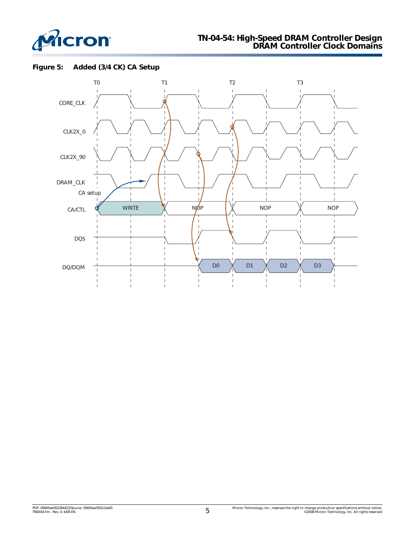![](_page_4_Picture_0.jpeg)

### **TN-04-54: High-Speed DRAM Controller Design DRAM Controller Clock Domains**

#### **Figure 5: Added (3/4 CK) CA Setup**

![](_page_4_Figure_3.jpeg)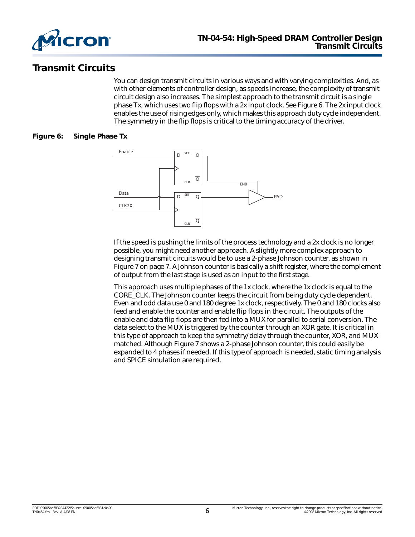![](_page_5_Picture_0.jpeg)

# **Transmit Circuits**

You can design transmit circuits in various ways and with varying complexities. And, as with other elements of controller design, as speeds increase, the complexity of transmit circuit design also increases. The simplest approach to the transmit circuit is a single phase Tx, which uses two flip flops with a 2x input clock. See [Figure 6](#page-5-0). The 2x input clock enables the use of rising edges only, which makes this approach duty cycle independent. The symmetry in the flip flops is critical to the timing accuracy of the driver.

#### <span id="page-5-0"></span>**Figure 6: Single Phase Tx**

![](_page_5_Figure_5.jpeg)

If the speed is pushing the limits of the process technology and a 2x clock is no longer possible, you might need another approach. A slightly more complex approach to designing transmit circuits would be to use a 2-phase Johnson counter, as shown in [Figure 7 on page 7](#page-6-0). A Johnson counter is basically a shift register, where the complement of output from the last stage is used as an input to the first stage.

This approach uses multiple phases of the 1x clock, where the 1x clock is equal to the CORE\_CLK. The Johnson counter keeps the circuit from being duty cycle dependent. Even and odd data use 0 and 180 degree 1x clock, respectively. The 0 and 180 clocks also feed and enable the counter and enable flip flops in the circuit. The outputs of the enable and data flip flops are then fed into a MUX for parallel to serial conversion. The data select to the MUX is triggered by the counter through an XOR gate. It is critical in this type of approach to keep the symmetry/delay through the counter, XOR, and MUX matched. Although Figure 7 shows a 2-phase Johnson counter, this could easily be expanded to 4 phases if needed. If this type of approach is needed, static timing analysis and SPICE simulation are required.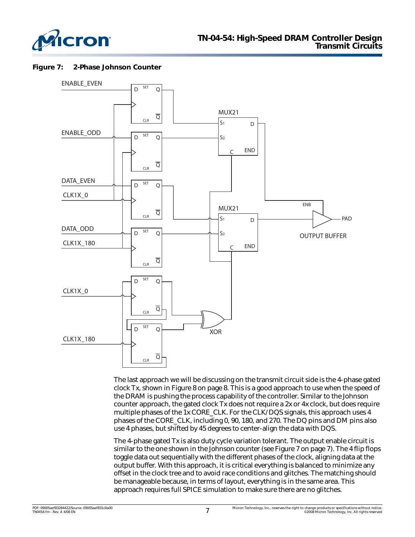![](_page_6_Picture_0.jpeg)

#### <span id="page-6-0"></span>**Figure 7: 2-Phase Johnson Counter**

![](_page_6_Figure_3.jpeg)

The last approach we will be discussing on the transmit circuit side is the 4-phase gated clock Tx, shown in [Figure 8 on page 8](#page-7-0). This is a good approach to use when the speed of the DRAM is pushing the process capability of the controller. Similar to the Johnson counter approach, the gated clock Tx does not require a 2x or 4x clock, but does require multiple phases of the 1x CORE\_CLK. For the CLK/DQS signals, this approach uses 4 phases of the CORE\_CLK, including 0, 90, 180, and 270. The DQ pins and DM pins also use 4 phases, but shifted by 45 degrees to center-align the data with DQS.

The 4-phase gated Tx is also duty cycle variation tolerant. The output enable circuit is similar to the one shown in the Johnson counter (see [Figure 7 on page 7\)](#page-6-0). The 4 flip flops toggle data out sequentially with the different phases of the clock, aligning data at the output buffer. With this approach, it is critical everything is balanced to minimize any offset in the clock tree and to avoid race conditions and glitches. The matching should be manageable because, in terms of layout, everything is in the same area. This approach requires full SPICE simulation to make sure there are no glitches.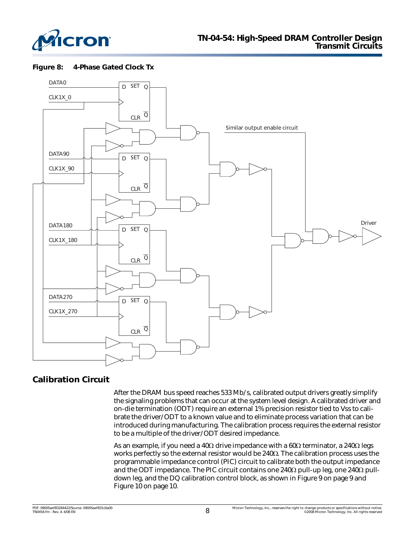![](_page_7_Picture_0.jpeg)

<span id="page-7-0"></span>![](_page_7_Figure_2.jpeg)

![](_page_7_Figure_3.jpeg)

## **Calibration Circuit**

After the DRAM bus speed reaches 533 Mb/s, calibrated output drivers greatly simplify the signaling problems that can occur at the system level design. A calibrated driver and on-die termination (ODT) require an external 1% precision resistor tied to Vss to calibrate the driver/ODT to a known value and to eliminate process variation that can be introduced during manufacturing. The calibration process requires the external resistor to be a multiple of the driver/ODT desired impedance.

As an example, if you need a 40 $\Omega$  drive impedance with a 60 $\Omega$  terminator, a 240 $\Omega$  legs works perfectly so the external resistor would be 240Ω. The calibration process uses the programmable impedance control (PIC) circuit to calibrate both the output impedance and the ODT impedance. The PIC circuit contains one 240Ω pull-up leg, one 240Ω pulldown leg, and the DQ calibration control block, as shown in [Figure 9 on page 9](#page-8-0) and [Figure 10 on page 10](#page-9-0).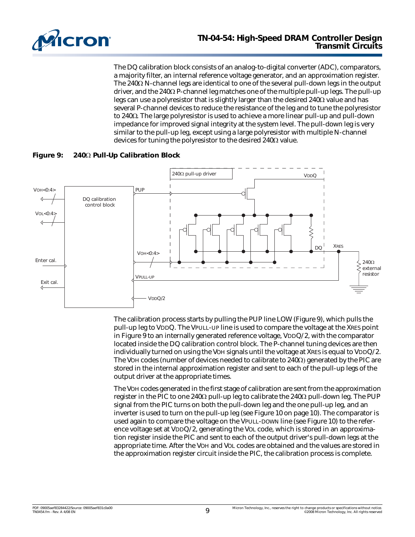![](_page_8_Picture_0.jpeg)

The DQ calibration block consists of an analog-to-digital converter (ADC), comparators, a majority filter, an internal reference voltage generator, and an approximation register. The 240Ω N-channel legs are identical to one of the several pull-down legs in the output driver, and the 240Ω P-channel leg matches one of the multiple pull-up legs. The pull-up legs can use a polyresistor that is slightly larger than the desired  $240\Omega$  value and has several P-channel devices to reduce the resistance of the leg and to tune the polyresistor to 240Ω. The large polyresistor is used to achieve a more linear pull-up and pull-down impedance for improved signal integrity at the system level. The pull-down leg is very similar to the pull-up leg, except using a large polyresistor with multiple N-channel devices for tuning the polyresistor to the desired 240Ω value.

<span id="page-8-0"></span>![](_page_8_Figure_3.jpeg)

![](_page_8_Figure_4.jpeg)

The calibration process starts by pulling the PUP line LOW (Figure 9), which pulls the pull-up leg to VDDQ. The VPULL-UP line is used to compare the voltage at the XRES point in Figure 9 to an internally generated reference voltage, VDDQ/2, with the comparator located inside the DQ calibration control block. The P-channel tuning devices are then individually turned on using the VOH signals until the voltage at XRES is equal to VDDQ/2. The VOH codes (number of devices needed to calibrate to  $240\Omega$ ) generated by the PIC are stored in the internal approximation register and sent to each of the pull-up legs of the output driver at the appropriate times.

The VOH codes generated in the first stage of calibration are sent from the approximation register in the PIC to one 240 $\Omega$  pull-up leg to calibrate the 240 $\Omega$  pull-down leg. The PUP signal from the PIC turns on both the pull-down leg and the one pull-up leg, and an inverter is used to turn on the pull-up leg (see [Figure 10 on page 10\)](#page-9-0). The comparator is used again to compare the voltage on the VPULL-DOWN line (see Figure 10) to the reference voltage set at VDDQ/2, generating the VOL code, which is stored in an approximation register inside the PIC and sent to each of the output driver's pull-down legs at the appropriate time. After the VOH and VOL codes are obtained and the values are stored in the approximation register circuit inside the PIC, the calibration process is complete.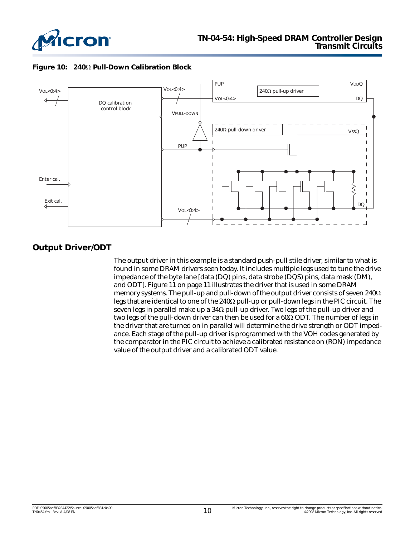![](_page_9_Picture_0.jpeg)

<span id="page-9-0"></span>![](_page_9_Figure_2.jpeg)

![](_page_9_Figure_3.jpeg)

## **Output Driver/ODT**

The output driver in this example is a standard push-pull stile driver, similar to what is found in some DRAM drivers seen today. It includes multiple legs used to tune the drive impedance of the byte lane [data (DQ) pins, data strobe (DQS) pins, data mask (DM), and ODT]. [Figure 11 on page 11](#page-10-0) illustrates the driver that is used in some DRAM memory systems. The pull-up and pull-down of the output driver consists of seven 240Ω legs that are identical to one of the 240Ω pull-up or pull-down legs in the PIC circuit. The seven legs in parallel make up a  $34\Omega$  pull-up driver. Two legs of the pull-up driver and two legs of the pull-down driver can then be used for a 60Ω ODT. The number of legs in the driver that are turned on in parallel will determine the drive strength or ODT impedance. Each stage of the pull-up driver is programmed with the VOH codes generated by the comparator in the PIC circuit to achieve a calibrated resistance on (RON) impedance value of the output driver and a calibrated ODT value.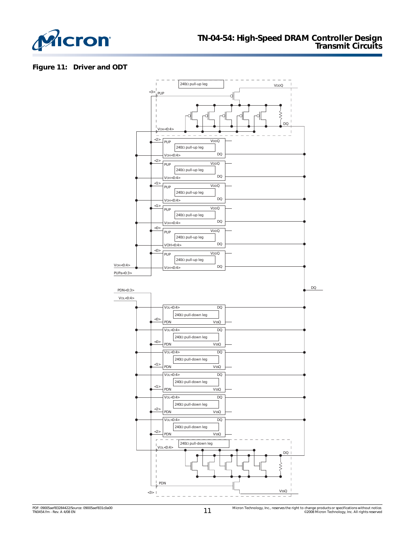![](_page_10_Picture_0.jpeg)

#### <span id="page-10-0"></span>**Figure 11: Driver and ODT**

![](_page_10_Figure_3.jpeg)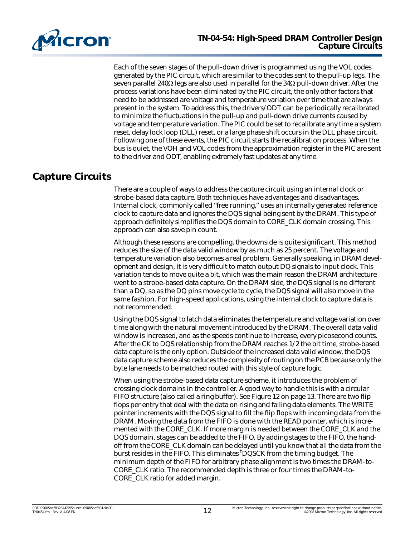![](_page_11_Picture_0.jpeg)

Each of the seven stages of the pull-down driver is programmed using the VOL codes generated by the PIC circuit, which are similar to the codes sent to the pull-up legs. The seven parallel 240Ω legs are also used in parallel for the 34Ω pull-down driver. After the process variations have been eliminated by the PIC circuit, the only other factors that need to be addressed are voltage and temperature variation over time that are always present in the system. To address this, the drivers/ODT can be periodically recalibrated to minimize the fluctuations in the pull-up and pull-down drive currents caused by voltage and temperature variation. The PIC could be set to recalibrate any time a system reset, delay lock loop (DLL) reset, or a large phase shift occurs in the DLL phase circuit. Following one of these events, the PIC circuit starts the recalibration process. When the bus is quiet, the VOH and VOL codes from the approximation register in the PIC are sent to the driver and ODT, enabling extremely fast updates at any time.

# **Capture Circuits**

There are a couple of ways to address the capture circuit using an internal clock or strobe-based data capture. Both techniques have advantages and disadvantages. Internal clock, commonly called "free running," uses an internally generated reference clock to capture data and ignores the DQS signal being sent by the DRAM. This type of approach definitely simplifies the DQS domain to CORE\_CLK domain crossing. This approach can also save pin count.

Although these reasons are compelling, the downside is quite significant. This method reduces the size of the data valid window by as much as 25 percent. The voltage and temperature variation also becomes a real problem. Generally speaking, in DRAM development and design, it is very difficult to match output DQ signals to input clock. This variation tends to move quite a bit, which was the main reason the DRAM architecture went to a strobe-based data capture. On the DRAM side, the DQS signal is no different than a DQ, so as the DQ pins move cycle to cycle, the DQS signal will also move in the same fashion. For high-speed applications, using the internal clock to capture data is not recommended.

Using the DQS signal to latch data eliminates the temperature and voltage variation over time along with the natural movement introduced by the DRAM. The overall data valid window is increased, and as the speeds continue to increase, every picosecond counts. After the CK to DQS relationship from the DRAM reaches 1/2 the bit time, strobe-based data capture is the only option. Outside of the increased data valid window, the DQS data capture scheme also reduces the complexity of routing on the PCB because only the byte lane needs to be matched routed with this style of capture logic.

When using the strobe-based data capture scheme, it introduces the problem of crossing clock domains in the controller. A good way to handle this is with a circular FIFO structure (also called a ring buffer). See [Figure 12 on page 13](#page-12-0). There are two flip flops per entry that deal with the data on rising and falling data elements. The WRITE pointer increments with the DQS signal to fill the flip flops with incoming data from the DRAM. Moving the data from the FIFO is done with the READ pointer, which is incremented with the CORE\_CLK. If more margin is needed between the CORE\_CLK and the DQS domain, stages can be added to the FIFO. By adding stages to the FIFO, the handoff from the CORE\_CLK domain can be delayed until you know that all the data from the burst resides in the FIFO. This eliminates <sup>t</sup>DQSCK from the timing budget. The minimum depth of the FIFO for arbitrary phase alignment is two times the DRAM-to-CORE\_CLK ratio. The recommended depth is three or four times the DRAM-to-CORE\_CLK ratio for added margin.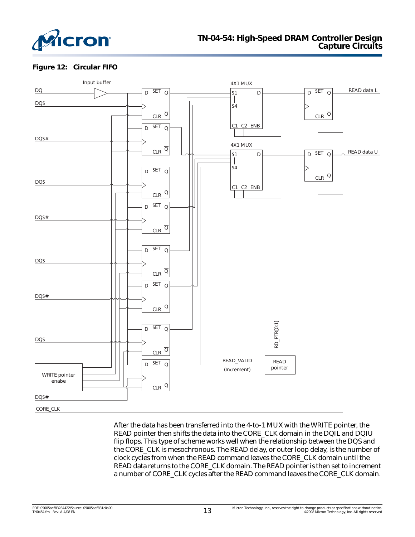![](_page_12_Picture_0.jpeg)

#### <span id="page-12-0"></span>**Figure 12: Circular FIFO**

![](_page_12_Figure_3.jpeg)

After the data has been transferred into the 4-to-1 MUX with the WRITE pointer, the READ pointer then shifts the data into the CORE\_CLK domain in the DQIL and DQIU flip flops. This type of scheme works well when the relationship between the DQS and the CORE\_CLK is mesochronous. The READ delay, or outer loop delay, is the number of clock cycles from when the READ command leaves the CORE\_CLK domain until the READ data returns to the CORE\_CLK domain. The READ pointer is then set to increment a number of CORE\_CLK cycles after the READ command leaves the CORE\_CLK domain.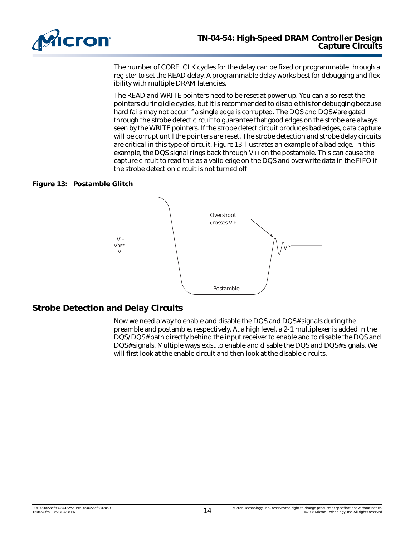![](_page_13_Picture_0.jpeg)

The number of CORE\_CLK cycles for the delay can be fixed or programmable through a register to set the READ delay. A programmable delay works best for debugging and flexibility with multiple DRAM latencies.

The READ and WRITE pointers need to be reset at power up. You can also reset the pointers during idle cycles, but it is recommended to disable this for debugging because hard fails may not occur if a single edge is corrupted. The DQS and DQS# are gated through the strobe detect circuit to guarantee that good edges on the strobe are always seen by the WRITE pointers. If the strobe detect circuit produces bad edges, data capture will be corrupt until the pointers are reset. The strobe detection and strobe delay circuits are critical in this type of circuit. [Figure 13](#page-13-0) illustrates an example of a bad edge. In this example, the DQS signal rings back through VIH on the postamble. This can cause the capture circuit to read this as a valid edge on the DQS and overwrite data in the FIFO if the strobe detection circuit is not turned off.

#### <span id="page-13-0"></span>**Figure 13: Postamble Glitch**

![](_page_13_Figure_5.jpeg)

#### **Strobe Detection and Delay Circuits**

Now we need a way to enable and disable the DQS and DQS# signals during the preamble and postamble, respectively. At a high level, a 2-1 multiplexer is added in the DQS/DQS# path directly behind the input receiver to enable and to disable the DQS and DQS# signals. Multiple ways exist to enable and disable the DQS and DQS# signals. We will first look at the enable circuit and then look at the disable circuits.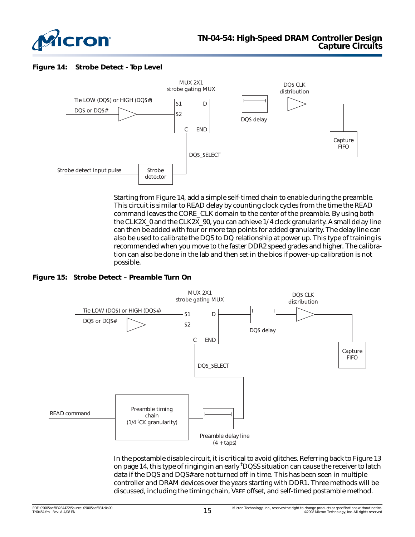![](_page_14_Picture_0.jpeg)

#### <span id="page-14-0"></span>**Figure 14: Strobe Detect - Top Level**

![](_page_14_Figure_3.jpeg)

Starting from [Figure 14,](#page-14-0) add a simple self-timed chain to enable during the preamble. This circuit is similar to READ delay by counting clock cycles from the time the READ command leaves the CORE\_CLK domain to the center of the preamble. By using both the CLK2X\_0 and the CLK2X\_90, you can achieve 1/4 clock granularity. A small delay line can then be added with four or more tap points for added granularity. The delay line can also be used to calibrate the DQS to DQ relationship at power up. This type of training is recommended when you move to the faster DDR2 speed grades and higher. The calibration can also be done in the lab and then set in the bios if power-up calibration is not possible.

#### **Figure 15: Strobe Detect – Preamble Turn On**

![](_page_14_Figure_6.jpeg)

In the postamble disable circuit, it is critical to avoid glitches. Referring back to [Figure 13](#page-13-0)  [on page 14](#page-13-0), this type of ringing in an early <sup>t</sup>DQSS situation can cause the receiver to latch data if the DQS and DQS# are not turned off in time. This has been seen in multiple controller and DRAM devices over the years starting with DDR1. Three methods will be discussed, including the timing chain, VREF offset, and self-timed postamble method.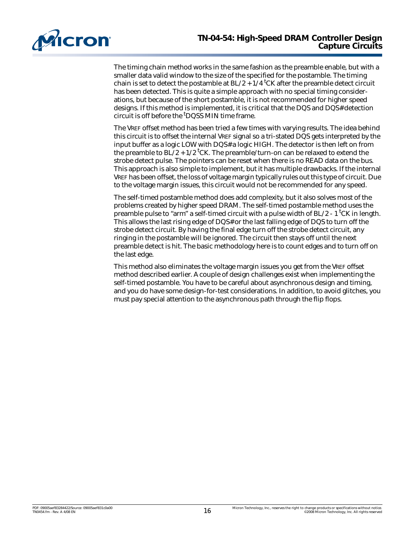![](_page_15_Picture_0.jpeg)

The timing chain method works in the same fashion as the preamble enable, but with a smaller data valid window to the size of the specified for the postamble. The timing chain is set to detect the postamble at BL/2 +  $1/4$  <sup>t</sup>CK after the preamble detect circuit has been detected. This is quite a simple approach with no special timing considerations, but because of the short postamble, it is not recommended for higher speed designs. If this method is implemented, it is critical that the DQS and DQS# detection circuit is off before the <sup>t</sup>DQSS MIN time frame.

The VREF offset method has been tried a few times with varying results. The idea behind this circuit is to offset the internal VREF signal so a tri-stated DQS gets interpreted by the input buffer as a logic LOW with DQS# a logic HIGH. The detector is then left on from the preamble to BL $/2$  + 1/2 <sup>t</sup>CK. The preamble/turn-on can be relaxed to extend the strobe detect pulse. The pointers can be reset when there is no READ data on the bus. This approach is also simple to implement, but it has multiple drawbacks. If the internal VREF has been offset, the loss of voltage margin typically rules out this type of circuit. Due to the voltage margin issues, this circuit would not be recommended for any speed.

The self-timed postamble method does add complexity, but it also solves most of the problems created by higher speed DRAM. The self-timed postamble method uses the preamble pulse to "arm" a self-timed circuit with a pulse width of BL/2 - 1 <sup>t</sup>CK in length. This allows the last rising edge of DQS# or the last falling edge of DQS to turn off the strobe detect circuit. By having the final edge turn off the strobe detect circuit, any ringing in the postamble will be ignored. The circuit then stays off until the next preamble detect is hit. The basic methodology here is to count edges and to turn off on the last edge.

This method also eliminates the voltage margin issues you get from the VREF offset method described earlier. A couple of design challenges exist when implementing the self-timed postamble. You have to be careful about asynchronous design and timing, and you do have some design-for-test considerations. In addition, to avoid glitches, you must pay special attention to the asynchronous path through the flip flops.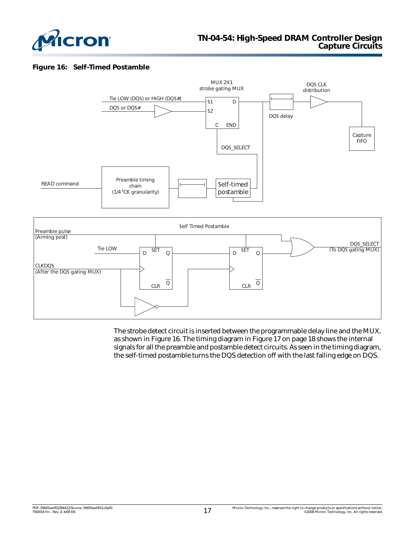![](_page_16_Picture_0.jpeg)

#### <span id="page-16-0"></span>**Figure 16: Self-Timed Postamble**

![](_page_16_Figure_3.jpeg)

The strobe detect circuit is inserted between the programmable delay line and the MUX, as shown in [Figure 16.](#page-16-0) The timing diagram in [Figure 17 on page 18](#page-17-0) shows the internal signals for all the preamble and postamble detect circuits. As seen in the timing diagram, the self-timed postamble turns the DQS detection off with the last falling edge on DQS.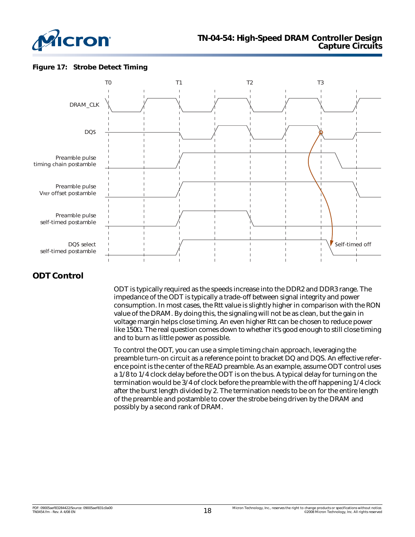![](_page_17_Picture_0.jpeg)

#### <span id="page-17-0"></span>**Figure 17: Strobe Detect Timing**

![](_page_17_Figure_3.jpeg)

## **ODT Control**

ODT is typically required as the speeds increase into the DDR2 and DDR3 range. The impedance of the ODT is typically a trade-off between signal integrity and power consumption. In most cases, the Rtt value is slightly higher in comparison with the RON value of the DRAM. By doing this, the signaling will not be as clean, but the gain in voltage margin helps close timing. An even higher Rtt can be chosen to reduce power like 150Ω. The real question comes down to whether it's good enough to still close timing and to burn as little power as possible.

To control the ODT, you can use a simple timing chain approach, leveraging the preamble turn-on circuit as a reference point to bracket DQ and DQS. An effective reference point is the center of the READ preamble. As an example, assume ODT control uses a 1/8 to 1/4 clock delay before the ODT is on the bus. A typical delay for turning on the termination would be 3/4 of clock before the preamble with the off happening 1/4 clock after the burst length divided by 2. The termination needs to be on for the entire length of the preamble and postamble to cover the strobe being driven by the DRAM and possibly by a second rank of DRAM.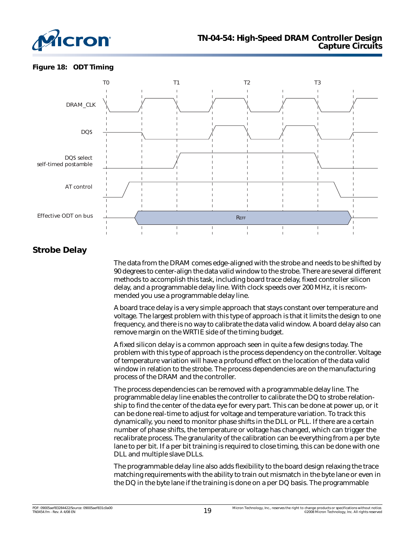![](_page_18_Picture_0.jpeg)

#### **Figure 18: ODT Timing**

![](_page_18_Figure_3.jpeg)

## **Strobe Delay**

The data from the DRAM comes edge-aligned with the strobe and needs to be shifted by 90 degrees to center-align the data valid window to the strobe. There are several different methods to accomplish this task, including board trace delay, fixed controller silicon delay, and a programmable delay line. With clock speeds over 200 MHz, it is recommended you use a programmable delay line.

A board trace delay is a very simple approach that stays constant over temperature and voltage. The largest problem with this type of approach is that it limits the design to one frequency, and there is no way to calibrate the data valid window. A board delay also can remove margin on the WRTIE side of the timing budget.

A fixed silicon delay is a common approach seen in quite a few designs today. The problem with this type of approach is the process dependency on the controller. Voltage of temperature variation will have a profound effect on the location of the data valid window in relation to the strobe. The process dependencies are on the manufacturing process of the DRAM and the controller.

The process dependencies can be removed with a programmable delay line. The programmable delay line enables the controller to calibrate the DQ to strobe relationship to find the center of the data eye for every part. This can be done at power up, or it can be done real-time to adjust for voltage and temperature variation. To track this dynamically, you need to monitor phase shifts in the DLL or PLL. If there are a certain number of phase shifts, the temperature or voltage has changed, which can trigger the recalibrate process. The granularity of the calibration can be everything from a per byte lane to per bit. If a per bit training is required to close timing, this can be done with one DLL and multiple slave DLLs.

The programmable delay line also adds flexibility to the board design relaxing the trace matching requirements with the ability to train out mismatch in the byte lane or even in the DQ in the byte lane if the training is done on a per DQ basis. The programmable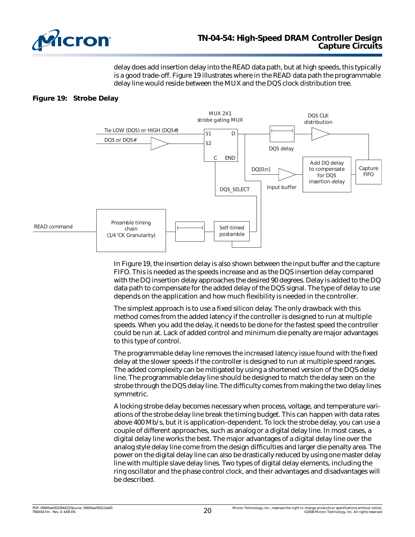![](_page_19_Picture_0.jpeg)

delay does add insertion delay into the READ data path, but at high speeds, this typically is a good trade-off. [Figure 19](#page-19-0) illustrates where in the READ data path the programmable delay line would reside between the MUX and the DQS clock distribution tree.

#### <span id="page-19-0"></span>**Figure 19: Strobe Delay**

![](_page_19_Figure_4.jpeg)

In Figure 19, the insertion delay is also shown between the input buffer and the capture FIFO. This is needed as the speeds increase and as the DQS insertion delay compared with the DQ insertion delay approaches the desired 90 degrees. Delay is added to the DQ data path to compensate for the added delay of the DQS signal. The type of delay to use depends on the application and how much flexibility is needed in the controller.

The simplest approach is to use a fixed silicon delay. The only drawback with this method comes from the added latency if the controller is designed to run at multiple speeds. When you add the delay, it needs to be done for the fastest speed the controller could be run at. Lack of added control and minimum die penalty are major advantages to this type of control.

The programmable delay line removes the increased latency issue found with the fixed delay at the slower speeds if the controller is designed to run at multiple speed ranges. The added complexity can be mitigated by using a shortened version of the DQS delay line. The programmable delay line should be designed to match the delay seen on the strobe through the DQS delay line. The difficulty comes from making the two delay lines symmetric.

A locking strobe delay becomes necessary when process, voltage, and temperature variations of the strobe delay line break the timing budget. This can happen with data rates above 400 Mb/s, but it is application-dependent. To lock the strobe delay, you can use a couple of different approaches, such as analog or a digital delay line. In most cases, a digital delay line works the best. The major advantages of a digital delay line over the analog style delay line come from the design difficulties and larger die penalty area. The power on the digital delay line can also be drastically reduced by using one master delay line with multiple slave delay lines. Two types of digital delay elements, including the ring oscillator and the phase control clock, and their advantages and disadvantages will be described.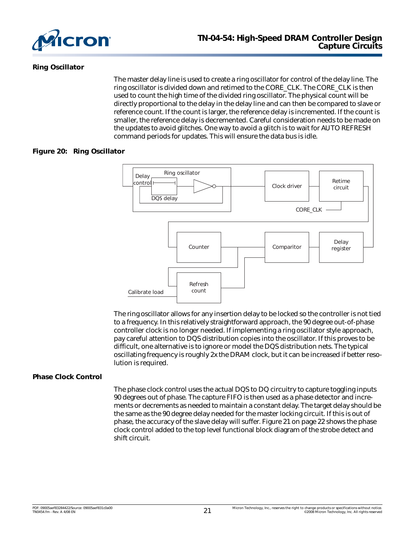![](_page_20_Picture_0.jpeg)

#### **Ring Oscillator**

The master delay line is used to create a ring oscillator for control of the delay line. The ring oscillator is divided down and retimed to the CORE\_CLK. The CORE\_CLK is then used to count the high time of the divided ring oscillator. The physical count will be directly proportional to the delay in the delay line and can then be compared to slave or reference count. If the count is larger, the reference delay is incremented. If the count is smaller, the reference delay is decremented. Careful consideration needs to be made on the updates to avoid glitches. One way to avoid a glitch is to wait for AUTO REFRESH command periods for updates. This will ensure the data bus is idle.

#### **Figure 20: Ring Oscillator**

![](_page_20_Figure_5.jpeg)

The ring oscillator allows for any insertion delay to be locked so the controller is not tied to a frequency. In this relatively straightforward approach, the 90 degree out-of-phase controller clock is no longer needed. If implementing a ring oscillator style approach, pay careful attention to DQS distribution copies into the oscillator. If this proves to be difficult, one alternative is to ignore or model the DQS distribution nets. The typical oscillating frequency is roughly 2x the DRAM clock, but it can be increased if better resolution is required.

#### **Phase Clock Control**

The phase clock control uses the actual DQS to DQ circuitry to capture toggling inputs 90 degrees out of phase. The capture FIFO is then used as a phase detector and increments or decrements as needed to maintain a constant delay. The target delay should be the same as the 90 degree delay needed for the master locking circuit. If this is out of phase, the accuracy of the slave delay will suffer. [Figure 21 on page 22](#page-21-0) shows the phase clock control added to the top level functional block diagram of the strobe detect and shift circuit.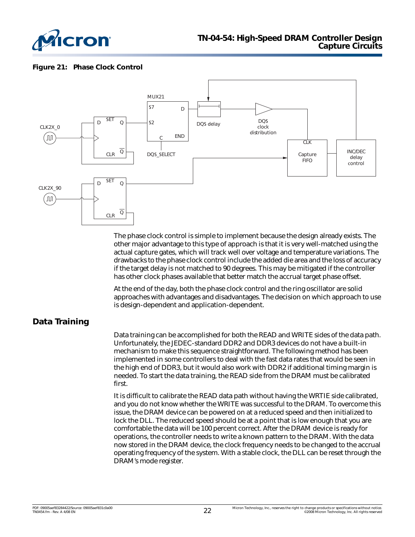![](_page_21_Picture_0.jpeg)

#### <span id="page-21-0"></span>**Figure 21: Phase Clock Control**

![](_page_21_Figure_3.jpeg)

The phase clock control is simple to implement because the design already exists. The other major advantage to this type of approach is that it is very well-matched using the actual capture gates, which will track well over voltage and temperature variations. The drawbacks to the phase clock control include the added die area and the loss of accuracy if the target delay is not matched to 90 degrees. This may be mitigated if the controller has other clock phases available that better match the accrual target phase offset.

At the end of the day, both the phase clock control and the ring oscillator are solid approaches with advantages and disadvantages. The decision on which approach to use is design-dependent and application-dependent.

## **Data Training**

Data training can be accomplished for both the READ and WRITE sides of the data path. Unfortunately, the JEDEC-standard DDR2 and DDR3 devices do not have a built-in mechanism to make this sequence straightforward. The following method has been implemented in some controllers to deal with the fast data rates that would be seen in the high end of DDR3, but it would also work with DDR2 if additional timing margin is needed. To start the data training, the READ side from the DRAM must be calibrated first.

It is difficult to calibrate the READ data path without having the WRTIE side calibrated, and you do not know whether the WRITE was successful to the DRAM. To overcome this issue, the DRAM device can be powered on at a reduced speed and then initialized to lock the DLL. The reduced speed should be at a point that is low enough that you are comfortable the data will be 100 percent correct. After the DRAM device is ready for operations, the controller needs to write a known pattern to the DRAM. With the data now stored in the DRAM device, the clock frequency needs to be changed to the accrual operating frequency of the system. With a stable clock, the DLL can be reset through the DRAM's mode register.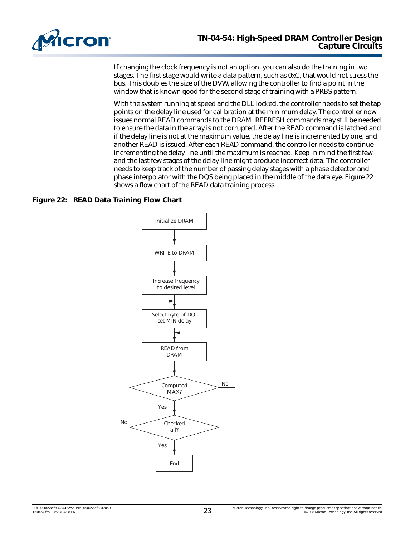![](_page_22_Picture_0.jpeg)

If changing the clock frequency is not an option, you can also do the training in two stages. The first stage would write a data pattern, such as 0xC, that would not stress the bus. This doubles the size of the DVW, allowing the controller to find a point in the window that is known good for the second stage of training with a PRBS pattern.

With the system running at speed and the DLL locked, the controller needs to set the tap points on the delay line used for calibration at the minimum delay. The controller now issues normal READ commands to the DRAM. REFRESH commands may still be needed to ensure the data in the array is not corrupted. After the READ command is latched and if the delay line is not at the maximum value, the delay line is incremented by one, and another READ is issued. After each READ command, the controller needs to continue incrementing the delay line until the maximum is reached. Keep in mind the first few and the last few stages of the delay line might produce incorrect data. The controller needs to keep track of the number of passing delay stages with a phase detector and phase interpolator with the DQS being placed in the middle of the data eye. [Figure 22](#page-22-0) shows a flow chart of the READ data training process.

#### <span id="page-22-0"></span>**Figure 22: READ Data Training Flow Chart**

![](_page_22_Figure_5.jpeg)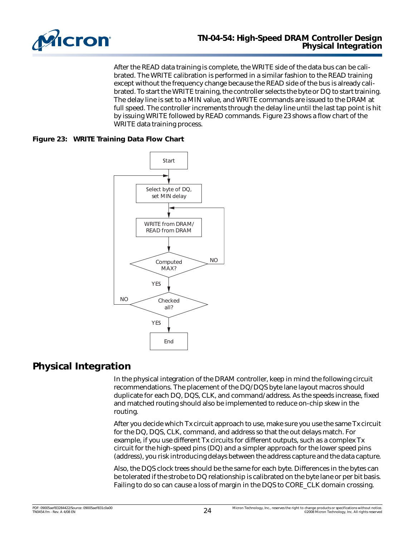![](_page_23_Picture_0.jpeg)

After the READ data training is complete, the WRITE side of the data bus can be calibrated. The WRITE calibration is performed in a similar fashion to the READ training except without the frequency change because the READ side of the bus is already calibrated. To start the WRITE training, the controller selects the byte or DQ to start training. The delay line is set to a MIN value, and WRITE commands are issued to the DRAM at full speed. The controller increments through the delay line until the last tap point is hit by issuing WRITE followed by READ commands. Figure 23 shows a flow chart of the WRITE data training process.

#### **Figure 23: WRITE Training Data Flow Chart**

![](_page_23_Figure_4.jpeg)

# **Physical Integration**

In the physical integration of the DRAM controller, keep in mind the following circuit recommendations. The placement of the DQ/DQS byte lane layout macros should duplicate for each DQ, DQS, CLK, and command/address. As the speeds increase, fixed and matched routing should also be implemented to reduce on-chip skew in the routing.

After you decide which Tx circuit approach to use, make sure you use the same Tx circuit for the DQ, DQS, CLK, command, and address so that the out delays match. For example, if you use different Tx circuits for different outputs, such as a complex Tx circuit for the high-speed pins (DQ) and a simpler approach for the lower speed pins (address), you risk introducing delays between the address capture and the data capture.

Also, the DQS clock trees should be the same for each byte. Differences in the bytes can be tolerated if the strobe to DQ relationship is calibrated on the byte lane or per bit basis. Failing to do so can cause a loss of margin in the DQS to CORE\_CLK domain crossing.